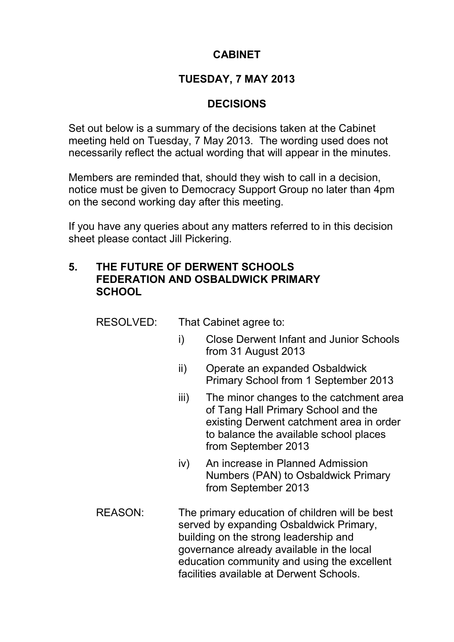# **CABINET**

## **TUESDAY, 7 MAY 2013**

## **DECISIONS**

Set out below is a summary of the decisions taken at the Cabinet meeting held on Tuesday, 7 May 2013. The wording used does not necessarily reflect the actual wording that will appear in the minutes.

Members are reminded that, should they wish to call in a decision, notice must be given to Democracy Support Group no later than 4pm on the second working day after this meeting.

If you have any queries about any matters referred to in this decision sheet please contact Jill Pickering.

#### **5. THE FUTURE OF DERWENT SCHOOLS FEDERATION AND OSBALDWICK PRIMARY SCHOOL**

RESOLVED: That Cabinet agree to:

- i) Close Derwent Infant and Junior Schools from 31 August 2013
- ii) Operate an expanded Osbaldwick Primary School from 1 September 2013
- iii) The minor changes to the catchment area of Tang Hall Primary School and the existing Derwent catchment area in order to balance the available school places from September 2013
- iv) An increase in Planned Admission Numbers (PAN) to Osbaldwick Primary from September 2013
- REASON: The primary education of children will be best served by expanding Osbaldwick Primary, building on the strong leadership and governance already available in the local education community and using the excellent facilities available at Derwent Schools.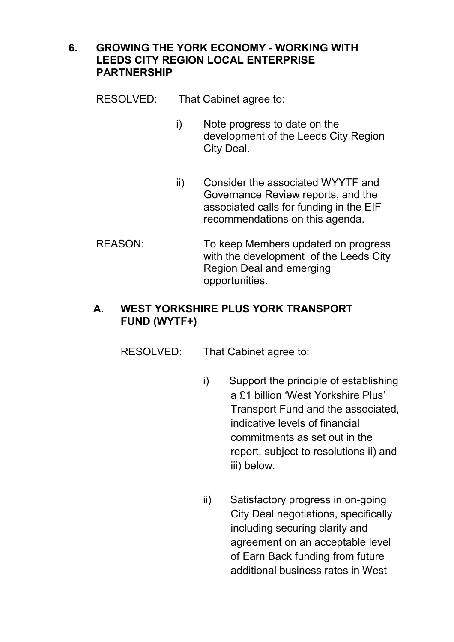#### **6. GROWING THE YORK ECONOMY - WORKING WITH LEEDS CITY REGION LOCAL ENTERPRISE PARTNERSHIP**

RESOLVED: That Cabinet agree to:

- i) Note progress to date on the development of the Leeds City Region City Deal.
- ii) Consider the associated WYYTF and Governance Review reports, and the associated calls for funding in the EIF recommendations on this agenda.
- REASON: To keep Members updated on progress with the development of the Leeds City Region Deal and emerging opportunities.

# **A. WEST YORKSHIRE PLUS YORK TRANSPORT FUND (WYTF+)**

- RESOLVED: That Cabinet agree to:
	- i) Support the principle of establishing a £1 billion 'West Yorkshire Plus' Transport Fund and the associated, indicative levels of financial commitments as set out in the report, subject to resolutions ii) and iii) below.
	- ii) Satisfactory progress in on-going City Deal negotiations, specifically including securing clarity and agreement on an acceptable level of Earn Back funding from future additional business rates in West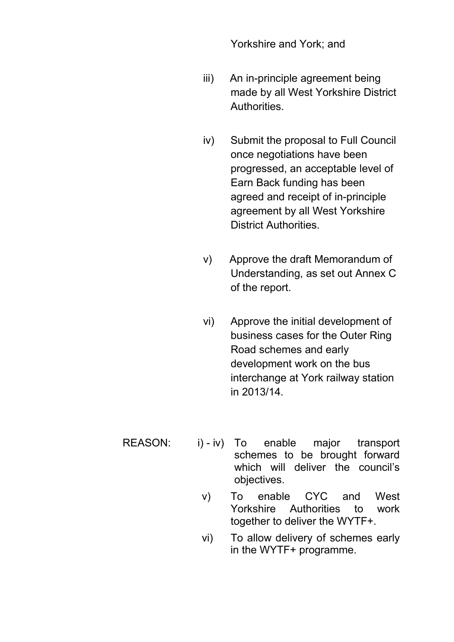Yorkshire and York; and

- iii) An in-principle agreement being made by all West Yorkshire District Authorities.
- iv) Submit the proposal to Full Council once negotiations have been progressed, an acceptable level of Earn Back funding has been agreed and receipt of in-principle agreement by all West Yorkshire District Authorities.
- v) Approve the draft Memorandum of Understanding, as set out Annex C of the report.
- vi) Approve the initial development of business cases for the Outer Ring Road schemes and early development work on the bus interchange at York railway station in 2013/14.
- REASON: i) iv) To enable major transport schemes to be brought forward which will deliver the council's objectives.
	- v) To enable CYC and West Yorkshire Authorities to work together to deliver the WYTF+.
	- vi) To allow delivery of schemes early in the WYTF+ programme.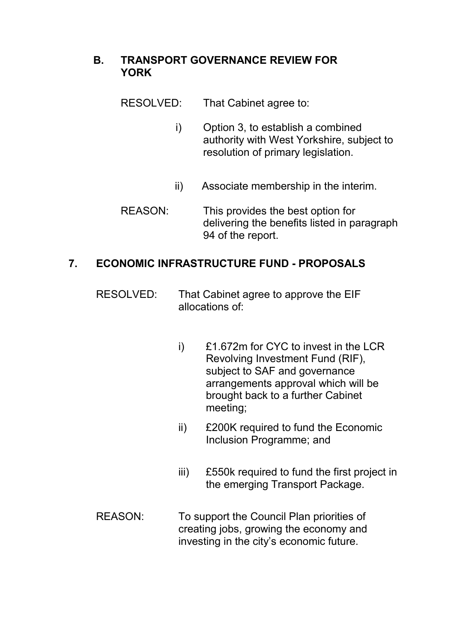## **B. TRANSPORT GOVERNANCE REVIEW FOR YORK**

- RESOLVED: That Cabinet agree to:
	- i) Option 3, to establish a combined authority with West Yorkshire, subject to resolution of primary legislation.
	- ii) Associate membership in the interim.
- REASON: This provides the best option for delivering the benefits listed in paragraph 94 of the report.

# **7. ECONOMIC INFRASTRUCTURE FUND - PROPOSALS**

- RESOLVED: That Cabinet agree to approve the EIF allocations of:
	- i) £1.672m for CYC to invest in the LCR Revolving Investment Fund (RIF), subject to SAF and governance arrangements approval which will be brought back to a further Cabinet meeting;
	- ii) £200K required to fund the Economic Inclusion Programme; and
	- iii) £550k required to fund the first project in the emerging Transport Package.
- REASON: To support the Council Plan priorities of creating jobs, growing the economy and investing in the city's economic future.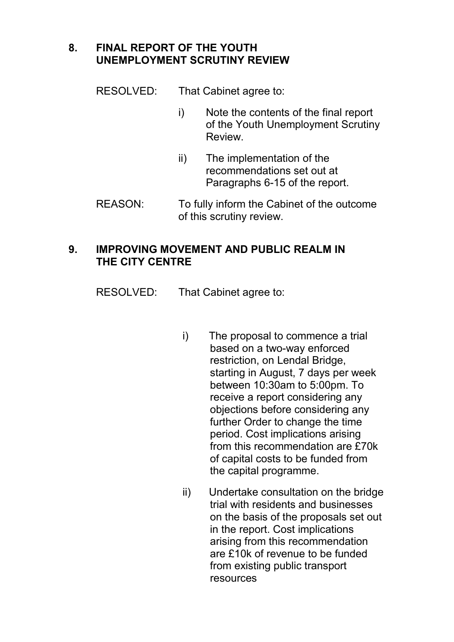# **8. FINAL REPORT OF THE YOUTH UNEMPLOYMENT SCRUTINY REVIEW**

RESOLVED: That Cabinet agree to:

- i) Note the contents of the final report of the Youth Unemployment Scrutiny Review.
- ii) The implementation of the recommendations set out at Paragraphs 6-15 of the report.
- REASON: To fully inform the Cabinet of the outcome of this scrutiny review.

## **9. IMPROVING MOVEMENT AND PUBLIC REALM IN THE CITY CENTRE**

RESOLVED: That Cabinet agree to:

- i) The proposal to commence a trial based on a two-way enforced restriction, on Lendal Bridge, starting in August, 7 days per week between 10:30am to 5:00pm. To receive a report considering any objections before considering any further Order to change the time period. Cost implications arising from this recommendation are £70k of capital costs to be funded from the capital programme.
- ii) Undertake consultation on the bridge trial with residents and businesses on the basis of the proposals set out in the report. Cost implications arising from this recommendation are £10k of revenue to be funded from existing public transport resources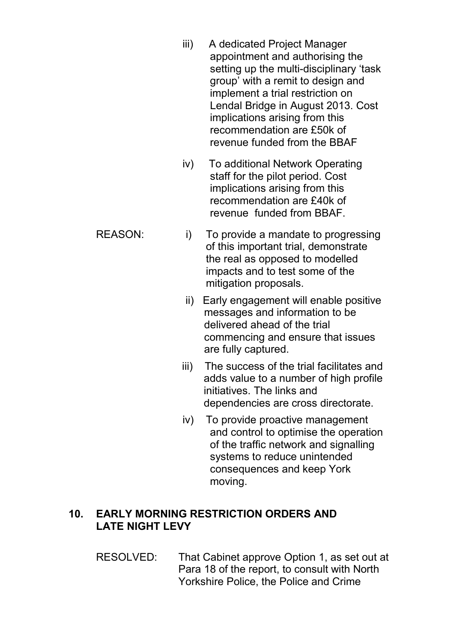- iii) A dedicated Project Manager appointment and authorising the setting up the multi-disciplinary 'task group' with a remit to design and implement a trial restriction on Lendal Bridge in August 2013. Cost implications arising from this recommendation are £50k of revenue funded from the BBAF
- iv) To additional Network Operating staff for the pilot period. Cost implications arising from this recommendation are £40k of revenue funded from BBAF.
- REASON: i) To provide a mandate to progressing of this important trial, demonstrate the real as opposed to modelled impacts and to test some of the mitigation proposals.
	- ii) Early engagement will enable positive messages and information to be delivered ahead of the trial commencing and ensure that issues are fully captured.
	- iii) The success of the trial facilitates and adds value to a number of high profile initiatives. The links and dependencies are cross directorate.
	- iv) To provide proactive management and control to optimise the operation of the traffic network and signalling systems to reduce unintended consequences and keep York moving.

## **10. EARLY MORNING RESTRICTION ORDERS AND LATE NIGHT LEVY**

RESOLVED: That Cabinet approve Option 1, as set out at Para 18 of the report, to consult with North Yorkshire Police, the Police and Crime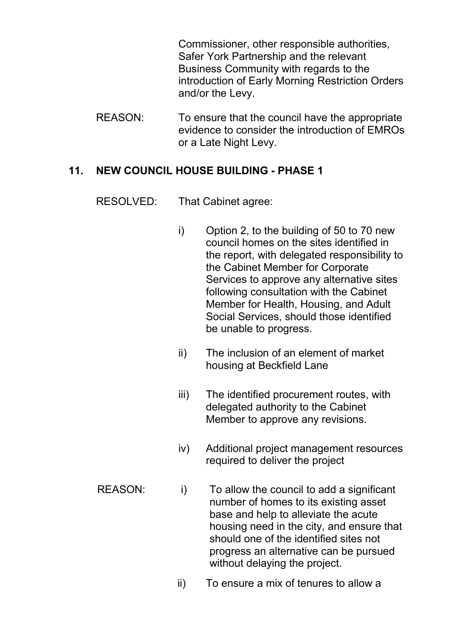Commissioner, other responsible authorities, Safer York Partnership and the relevant Business Community with regards to the introduction of Early Morning Restriction Orders and/or the Levy.

REASON: To ensure that the council have the appropriate evidence to consider the introduction of EMROs or a Late Night Levy.

#### **11. NEW COUNCIL HOUSE BUILDING - PHASE 1**

RESOLVED: That Cabinet agree:

- i) Option 2, to the building of 50 to 70 new council homes on the sites identified in the report, with delegated responsibility to the Cabinet Member for Corporate Services to approve any alternative sites following consultation with the Cabinet Member for Health, Housing, and Adult Social Services, should those identified be unable to progress.
- ii) The inclusion of an element of market housing at Beckfield Lane
- iii) The identified procurement routes, with delegated authority to the Cabinet Member to approve any revisions.
- iv) Additional project management resources required to deliver the project
- REASON: i) To allow the council to add a significant number of homes to its existing asset base and help to alleviate the acute housing need in the city, and ensure that should one of the identified sites not progress an alternative can be pursued without delaying the project.
	- ii) To ensure a mix of tenures to allow a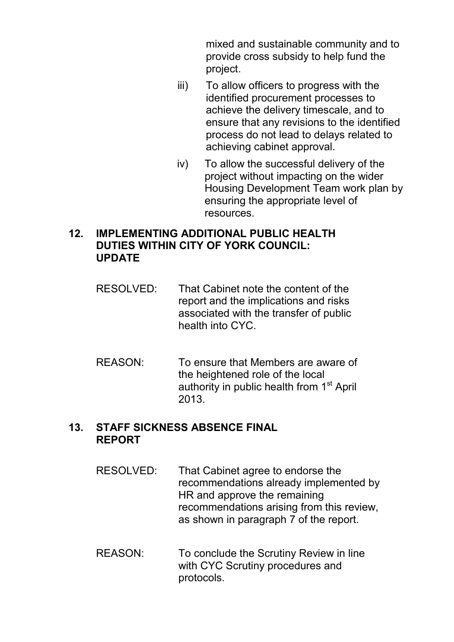mixed and sustainable community and to provide cross subsidy to help fund the project.

- iii) To allow officers to progress with the identified procurement processes to achieve the delivery timescale, and to ensure that any revisions to the identified process do not lead to delays related to achieving cabinet approval.
- iv) To allow the successful delivery of the project without impacting on the wider Housing Development Team work plan by ensuring the appropriate level of resources.

### **12. IMPLEMENTING ADDITIONAL PUBLIC HEALTH DUTIES WITHIN CITY OF YORK COUNCIL: UPDATE**

- RESOLVED: That Cabinet note the content of the report and the implications and risks associated with the transfer of public health into CYC.
- REASON: To ensure that Members are aware of the heightened role of the local authority in public health from 1<sup>st</sup> April 2013.

# **13. STAFF SICKNESS ABSENCE FINAL REPORT**

- RESOLVED: That Cabinet agree to endorse the recommendations already implemented by HR and approve the remaining recommendations arising from this review, as shown in paragraph 7 of the report.
- REASON: To conclude the Scrutiny Review in line with CYC Scrutiny procedures and protocols.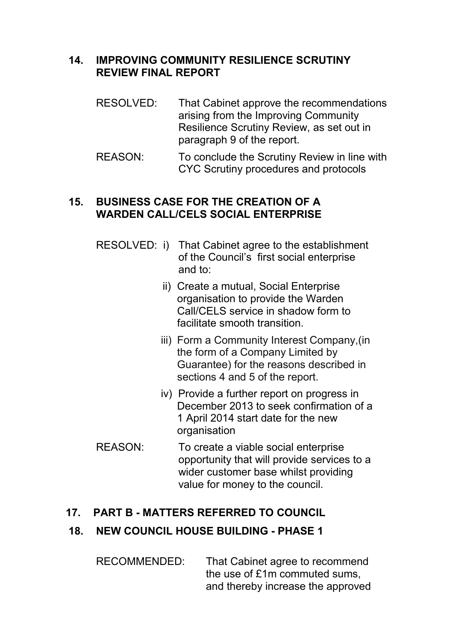## **14. IMPROVING COMMUNITY RESILIENCE SCRUTINY REVIEW FINAL REPORT**

- RESOLVED: That Cabinet approve the recommendations arising from the Improving Community Resilience Scrutiny Review, as set out in paragraph 9 of the report.
- REASON: To conclude the Scrutiny Review in line with CYC Scrutiny procedures and protocols

#### **15. BUSINESS CASE FOR THE CREATION OF A WARDEN CALL/CELS SOCIAL ENTERPRISE**

- RESOLVED: i) That Cabinet agree to the establishment of the Council's first social enterprise and to:
	- ii) Create a mutual, Social Enterprise organisation to provide the Warden Call/CELS service in shadow form to facilitate smooth transition.
	- iii) Form a Community Interest Company,(in the form of a Company Limited by Guarantee) for the reasons described in sections 4 and 5 of the report.
	- iv) Provide a further report on progress in December 2013 to seek confirmation of a 1 April 2014 start date for the new organisation
- REASON: To create a viable social enterprise opportunity that will provide services to a wider customer base whilst providing value for money to the council.

## **17. PART B - MATTERS REFERRED TO COUNCIL**

## **18. NEW COUNCIL HOUSE BUILDING - PHASE 1**

RECOMMENDED: That Cabinet agree to recommend the use of £1m commuted sums, and thereby increase the approved